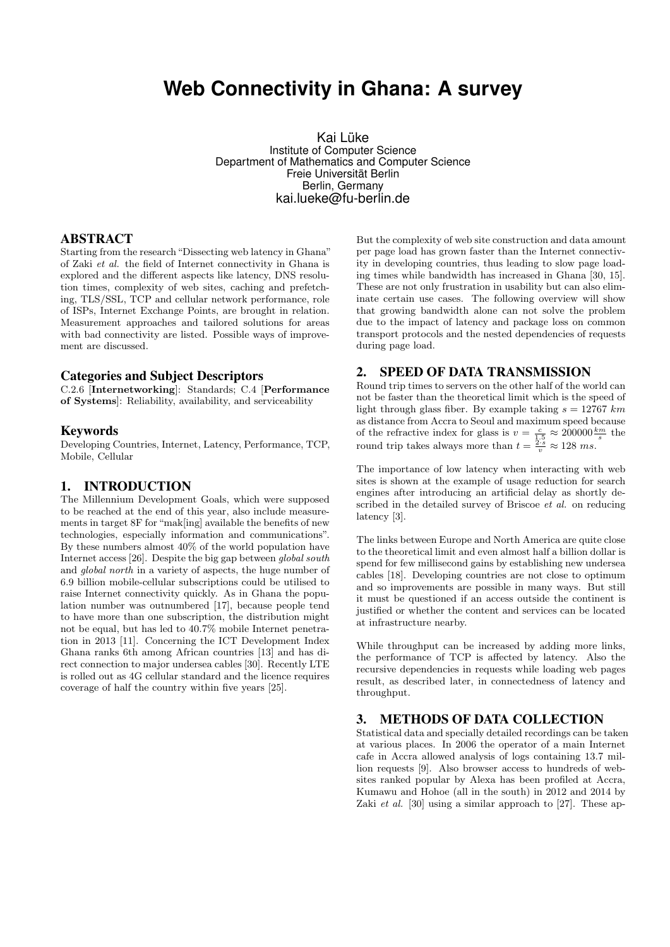# **Web Connectivity in Ghana: A survey**

Kai Lüke Institute of Computer Science Department of Mathematics and Computer Science Freie Universität Berlin Berlin, Germany kai.lueke@fu-berlin.de

#### ABSTRACT

Starting from the research"Dissecting web latency in Ghana" of Zaki et al. the field of Internet connectivity in Ghana is explored and the different aspects like latency, DNS resolution times, complexity of web sites, caching and prefetching, TLS/SSL, TCP and cellular network performance, role of ISPs, Internet Exchange Points, are brought in relation. Measurement approaches and tailored solutions for areas with bad connectivity are listed. Possible ways of improvement are discussed.

#### Categories and Subject Descriptors

C.2.6 [Internetworking]: Standards; C.4 [Performance of Systems]: Reliability, availability, and serviceability

#### Keywords

Developing Countries, Internet, Latency, Performance, TCP, Mobile, Cellular

#### 1. INTRODUCTION

The Millennium Development Goals, which were supposed to be reached at the end of this year, also include measurements in target 8F for "mak[ing] available the benefits of new technologies, especially information and communications". By these numbers almost 40% of the world population have Internet access [26]. Despite the big gap between global south and global north in a variety of aspects, the huge number of 6.9 billion mobile-cellular subscriptions could be utilised to raise Internet connectivity quickly. As in Ghana the population number was outnumbered [17], because people tend to have more than one subscription, the distribution might not be equal, but has led to 40.7% mobile Internet penetration in 2013 [11]. Concerning the ICT Development Index Ghana ranks 6th among African countries [13] and has direct connection to major undersea cables [30]. Recently LTE is rolled out as 4G cellular standard and the licence requires coverage of half the country within five years [25].

But the complexity of web site construction and data amount per page load has grown faster than the Internet connectivity in developing countries, thus leading to slow page loading times while bandwidth has increased in Ghana [30, 15]. These are not only frustration in usability but can also eliminate certain use cases. The following overview will show that growing bandwidth alone can not solve the problem due to the impact of latency and package loss on common transport protocols and the nested dependencies of requests during page load.

#### 2. SPEED OF DATA TRANSMISSION

Round trip times to servers on the other half of the world can not be faster than the theoretical limit which is the speed of light through glass fiber. By example taking  $s = 12767$  km as distance from Accra to Seoul and maximum speed because of the refractive index for glass is  $v = \frac{c}{1.5} \approx 200000 \frac{km}{s}$  the round trip takes always more than  $t = \frac{\overline{2 \cdot s}}{v} \approx 128 \; ms.$ 

The importance of low latency when interacting with web sites is shown at the example of usage reduction for search engines after introducing an artificial delay as shortly described in the detailed survey of Briscoe *et al.* on reducing latency [3].

The links between Europe and North America are quite close to the theoretical limit and even almost half a billion dollar is spend for few millisecond gains by establishing new undersea cables [18]. Developing countries are not close to optimum and so improvements are possible in many ways. But still it must be questioned if an access outside the continent is justified or whether the content and services can be located at infrastructure nearby.

While throughput can be increased by adding more links, the performance of TCP is affected by latency. Also the recursive dependencies in requests while loading web pages result, as described later, in connectedness of latency and throughput.

#### 3. METHODS OF DATA COLLECTION

Statistical data and specially detailed recordings can be taken at various places. In 2006 the operator of a main Internet cafe in Accra allowed analysis of logs containing 13.7 million requests [9]. Also browser access to hundreds of websites ranked popular by Alexa has been profiled at Accra, Kumawu and Hohoe (all in the south) in 2012 and 2014 by Zaki *et al.* [30] using a similar approach to [27]. These ap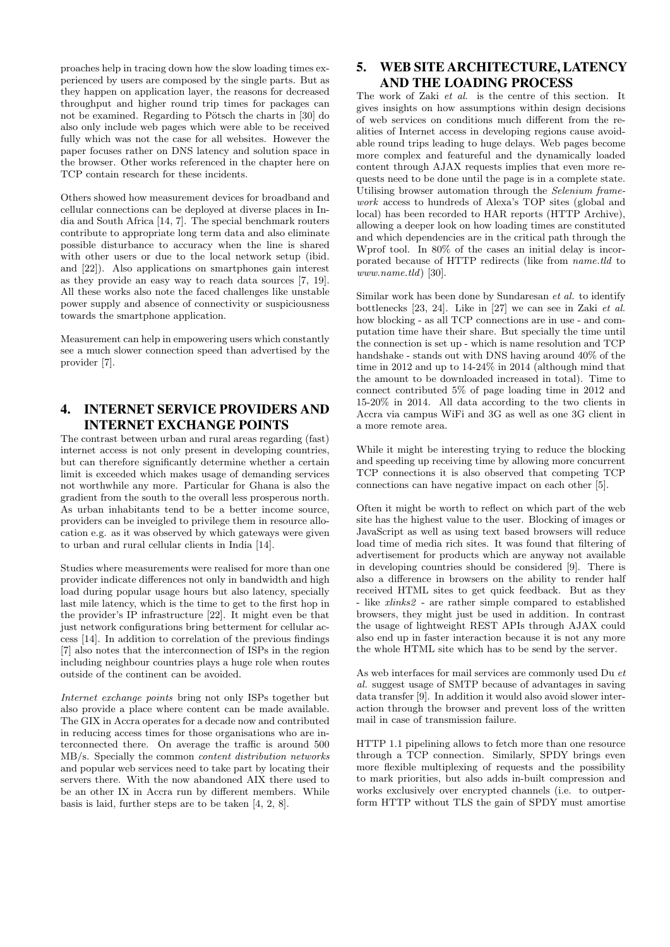proaches help in tracing down how the slow loading times experienced by users are composed by the single parts. But as they happen on application layer, the reasons for decreased throughput and higher round trip times for packages can not be examined. Regarding to Pötsch the charts in [30] do also only include web pages which were able to be received fully which was not the case for all websites. However the paper focuses rather on DNS latency and solution space in the browser. Other works referenced in the chapter here on TCP contain research for these incidents.

Others showed how measurement devices for broadband and cellular connections can be deployed at diverse places in India and South Africa [14, 7]. The special benchmark routers contribute to appropriate long term data and also eliminate possible disturbance to accuracy when the line is shared with other users or due to the local network setup (ibid. and [22]). Also applications on smartphones gain interest as they provide an easy way to reach data sources [7, 19]. All these works also note the faced challenges like unstable power supply and absence of connectivity or suspiciousness towards the smartphone application.

Measurement can help in empowering users which constantly see a much slower connection speed than advertised by the provider [7].

## 4. INTERNET SERVICE PROVIDERS AND INTERNET EXCHANGE POINTS

The contrast between urban and rural areas regarding (fast) internet access is not only present in developing countries, but can therefore significantly determine whether a certain limit is exceeded which makes usage of demanding services not worthwhile any more. Particular for Ghana is also the gradient from the south to the overall less prosperous north. As urban inhabitants tend to be a better income source, providers can be inveigled to privilege them in resource allocation e.g. as it was observed by which gateways were given to urban and rural cellular clients in India [14].

Studies where measurements were realised for more than one provider indicate differences not only in bandwidth and high load during popular usage hours but also latency, specially last mile latency, which is the time to get to the first hop in the provider's IP infrastructure [22]. It might even be that just network configurations bring betterment for cellular access [14]. In addition to correlation of the previous findings [7] also notes that the interconnection of ISPs in the region including neighbour countries plays a huge role when routes outside of the continent can be avoided.

Internet exchange points bring not only ISPs together but also provide a place where content can be made available. The GIX in Accra operates for a decade now and contributed in reducing access times for those organisations who are interconnected there. On average the traffic is around 500 MB/s. Specially the common content distribution networks and popular web services need to take part by locating their servers there. With the now abandoned AIX there used to be an other IX in Accra run by different members. While basis is laid, further steps are to be taken [4, 2, 8].

### 5. WEB SITE ARCHITECTURE, LATENCY AND THE LOADING PROCESS

The work of Zaki et al. is the centre of this section. It gives insights on how assumptions within design decisions of web services on conditions much different from the realities of Internet access in developing regions cause avoidable round trips leading to huge delays. Web pages become more complex and featureful and the dynamically loaded content through AJAX requests implies that even more requests need to be done until the page is in a complete state. Utilising browser automation through the Selenium framework access to hundreds of Alexa's TOP sites (global and local) has been recorded to HAR reports (HTTP Archive), allowing a deeper look on how loading times are constituted and which dependencies are in the critical path through the Wprof tool. In 80% of the cases an initial delay is incorporated because of HTTP redirects (like from name.tld to www.name.tld) [30].

Similar work has been done by Sundaresan et al. to identify bottlenecks [23, 24]. Like in [27] we can see in Zaki et al. how blocking - as all TCP connections are in use - and computation time have their share. But specially the time until the connection is set up - which is name resolution and TCP handshake - stands out with DNS having around 40% of the time in 2012 and up to 14-24% in 2014 (although mind that the amount to be downloaded increased in total). Time to connect contributed 5% of page loading time in 2012 and 15-20% in 2014. All data according to the two clients in Accra via campus WiFi and 3G as well as one 3G client in a more remote area.

While it might be interesting trying to reduce the blocking and speeding up receiving time by allowing more concurrent TCP connections it is also observed that competing TCP connections can have negative impact on each other [5].

Often it might be worth to reflect on which part of the web site has the highest value to the user. Blocking of images or JavaScript as well as using text based browsers will reduce load time of media rich sites. It was found that filtering of advertisement for products which are anyway not available in developing countries should be considered [9]. There is also a difference in browsers on the ability to render half received HTML sites to get quick feedback. But as they - like xlinks2 - are rather simple compared to established browsers, they might just be used in addition. In contrast the usage of lightweight REST APIs through AJAX could also end up in faster interaction because it is not any more the whole HTML site which has to be send by the server.

As web interfaces for mail services are commonly used Du et al. suggest usage of SMTP because of advantages in saving data transfer [9]. In addition it would also avoid slower interaction through the browser and prevent loss of the written mail in case of transmission failure.

HTTP 1.1 pipelining allows to fetch more than one resource through a TCP connection. Similarly, SPDY brings even more flexible multiplexing of requests and the possibility to mark priorities, but also adds in-built compression and works exclusively over encrypted channels (i.e. to outperform HTTP without TLS the gain of SPDY must amortise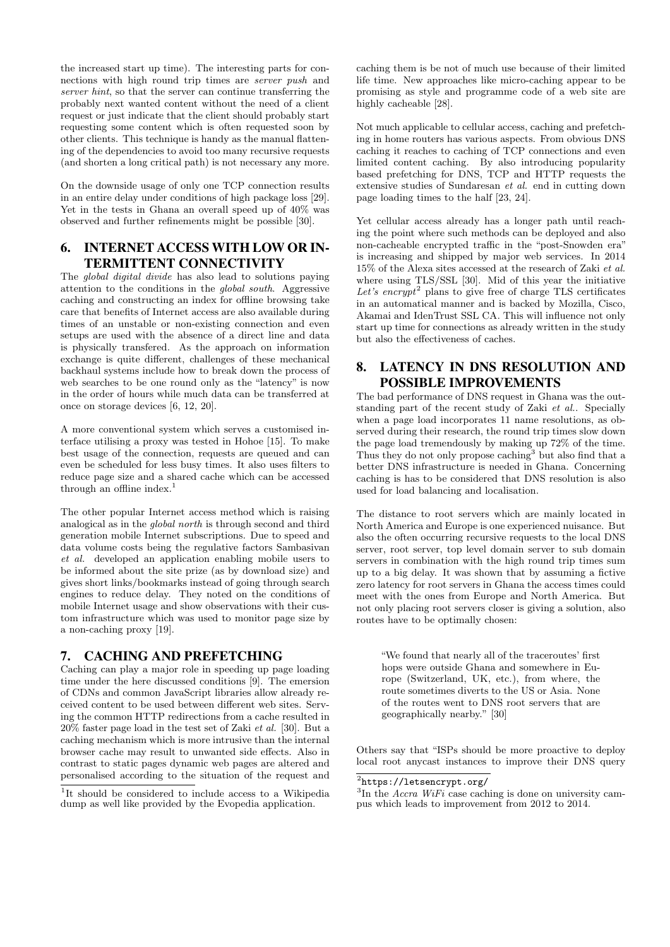the increased start up time). The interesting parts for connections with high round trip times are server push and server hint, so that the server can continue transferring the probably next wanted content without the need of a client request or just indicate that the client should probably start requesting some content which is often requested soon by other clients. This technique is handy as the manual flattening of the dependencies to avoid too many recursive requests (and shorten a long critical path) is not necessary any more.

On the downside usage of only one TCP connection results in an entire delay under conditions of high package loss [29]. Yet in the tests in Ghana an overall speed up of 40% was observed and further refinements might be possible [30].

## 6. INTERNET ACCESS WITH LOW OR IN-TERMITTENT CONNECTIVITY

The global digital divide has also lead to solutions paying attention to the conditions in the global south. Aggressive caching and constructing an index for offline browsing take care that benefits of Internet access are also available during times of an unstable or non-existing connection and even setups are used with the absence of a direct line and data is physically transfered. As the approach on information exchange is quite different, challenges of these mechanical backhaul systems include how to break down the process of web searches to be one round only as the "latency" is now in the order of hours while much data can be transferred at once on storage devices [6, 12, 20].

A more conventional system which serves a customised interface utilising a proxy was tested in Hohoe [15]. To make best usage of the connection, requests are queued and can even be scheduled for less busy times. It also uses filters to reduce page size and a shared cache which can be accessed through an offline index. $<sup>1</sup>$ </sup>

The other popular Internet access method which is raising analogical as in the global north is through second and third generation mobile Internet subscriptions. Due to speed and data volume costs being the regulative factors Sambasivan et al. developed an application enabling mobile users to be informed about the site prize (as by download size) and gives short links/bookmarks instead of going through search engines to reduce delay. They noted on the conditions of mobile Internet usage and show observations with their custom infrastructure which was used to monitor page size by a non-caching proxy [19].

#### 7. CACHING AND PREFETCHING

Caching can play a major role in speeding up page loading time under the here discussed conditions [9]. The emersion of CDNs and common JavaScript libraries allow already received content to be used between different web sites. Serving the common HTTP redirections from a cache resulted in 20% faster page load in the test set of Zaki et al. [30]. But a caching mechanism which is more intrusive than the internal browser cache may result to unwanted side effects. Also in contrast to static pages dynamic web pages are altered and personalised according to the situation of the request and

caching them is be not of much use because of their limited life time. New approaches like micro-caching appear to be promising as style and programme code of a web site are highly cacheable [28].

Not much applicable to cellular access, caching and prefetching in home routers has various aspects. From obvious DNS caching it reaches to caching of TCP connections and even limited content caching. By also introducing popularity based prefetching for DNS, TCP and HTTP requests the extensive studies of Sundaresan et al. end in cutting down page loading times to the half [23, 24].

Yet cellular access already has a longer path until reaching the point where such methods can be deployed and also non-cacheable encrypted traffic in the "post-Snowden era" is increasing and shipped by major web services. In 2014 15% of the Alexa sites accessed at the research of Zaki et al. where using TLS/SSL [30]. Mid of this year the initiative Let's encrypt<sup>2</sup> plans to give free of charge TLS certificates in an automatical manner and is backed by Mozilla, Cisco, Akamai and IdenTrust SSL CA. This will influence not only start up time for connections as already written in the study but also the effectiveness of caches.

## 8. LATENCY IN DNS RESOLUTION AND POSSIBLE IMPROVEMENTS

The bad performance of DNS request in Ghana was the outstanding part of the recent study of Zaki et al.. Specially when a page load incorporates 11 name resolutions, as observed during their research, the round trip times slow down the page load tremendously by making up 72% of the time. Thus they do not only propose caching<sup>3</sup> but also find that a better DNS infrastructure is needed in Ghana. Concerning caching is has to be considered that DNS resolution is also used for load balancing and localisation.

The distance to root servers which are mainly located in North America and Europe is one experienced nuisance. But also the often occurring recursive requests to the local DNS server, root server, top level domain server to sub domain servers in combination with the high round trip times sum up to a big delay. It was shown that by assuming a fictive zero latency for root servers in Ghana the access times could meet with the ones from Europe and North America. But not only placing root servers closer is giving a solution, also routes have to be optimally chosen:

"We found that nearly all of the traceroutes' first hops were outside Ghana and somewhere in Europe (Switzerland, UK, etc.), from where, the route sometimes diverts to the US or Asia. None of the routes went to DNS root servers that are geographically nearby." [30]

Others say that "ISPs should be more proactive to deploy local root anycast instances to improve their DNS query

2 https://letsencrypt.org/

 ${}^{3}$ In the Accra WiFi case caching is done on university campus which leads to improvement from 2012 to 2014.

<sup>&</sup>lt;sup>1</sup>It should be considered to include access to a Wikipedia dump as well like provided by the Evopedia application.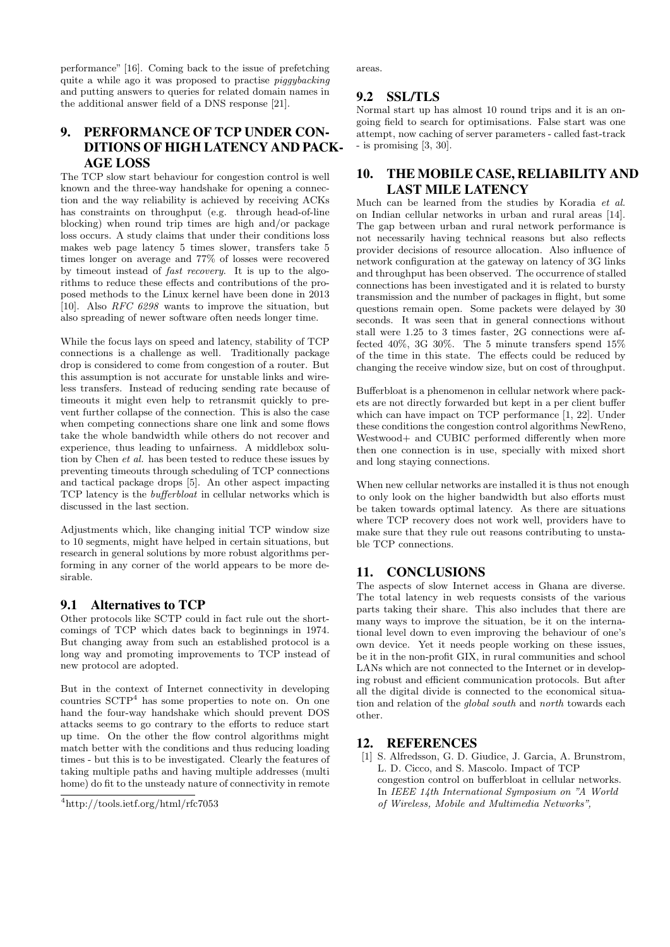performance" [16]. Coming back to the issue of prefetching quite a while ago it was proposed to practise piggybacking and putting answers to queries for related domain names in the additional answer field of a DNS response [21].

## 9. PERFORMANCE OF TCP UNDER CON-DITIONS OF HIGH LATENCY AND PACK-AGE LOSS

The TCP slow start behaviour for congestion control is well known and the three-way handshake for opening a connection and the way reliability is achieved by receiving ACKs has constraints on throughput (e.g. through head-of-line blocking) when round trip times are high and/or package loss occurs. A study claims that under their conditions loss makes web page latency 5 times slower, transfers take 5 times longer on average and 77% of losses were recovered by timeout instead of fast recovery. It is up to the algorithms to reduce these effects and contributions of the proposed methods to the Linux kernel have been done in 2013 [10]. Also RFC 6298 wants to improve the situation, but also spreading of newer software often needs longer time.

While the focus lays on speed and latency, stability of TCP connections is a challenge as well. Traditionally package drop is considered to come from congestion of a router. But this assumption is not accurate for unstable links and wireless transfers. Instead of reducing sending rate because of timeouts it might even help to retransmit quickly to prevent further collapse of the connection. This is also the case when competing connections share one link and some flows take the whole bandwidth while others do not recover and experience, thus leading to unfairness. A middlebox solution by Chen et al. has been tested to reduce these issues by preventing timeouts through scheduling of TCP connections and tactical package drops [5]. An other aspect impacting TCP latency is the bufferbloat in cellular networks which is discussed in the last section.

Adjustments which, like changing initial TCP window size to 10 segments, might have helped in certain situations, but research in general solutions by more robust algorithms performing in any corner of the world appears to be more desirable.

#### 9.1 Alternatives to TCP

Other protocols like SCTP could in fact rule out the shortcomings of TCP which dates back to beginnings in 1974. But changing away from such an established protocol is a long way and promoting improvements to TCP instead of new protocol are adopted.

But in the context of Internet connectivity in developing  $countries$  SCTP<sup>4</sup> has some properties to note on. On one hand the four-way handshake which should prevent DOS attacks seems to go contrary to the efforts to reduce start up time. On the other the flow control algorithms might match better with the conditions and thus reducing loading times - but this is to be investigated. Clearly the features of taking multiple paths and having multiple addresses (multi home) do fit to the unsteady nature of connectivity in remote

areas.

#### 9.2 SSL/TLS

Normal start up has almost 10 round trips and it is an ongoing field to search for optimisations. False start was one attempt, now caching of server parameters - called fast-track - is promising [3, 30].

## 10. THE MOBILE CASE, RELIABILITY AND LAST MILE LATENCY

Much can be learned from the studies by Koradia et al. on Indian cellular networks in urban and rural areas [14]. The gap between urban and rural network performance is not necessarily having technical reasons but also reflects provider decisions of resource allocation. Also influence of network configuration at the gateway on latency of 3G links and throughput has been observed. The occurrence of stalled connections has been investigated and it is related to bursty transmission and the number of packages in flight, but some questions remain open. Some packets were delayed by 30 seconds. It was seen that in general connections without stall were 1.25 to 3 times faster, 2G connections were affected 40%, 3G 30%. The 5 minute transfers spend 15% of the time in this state. The effects could be reduced by changing the receive window size, but on cost of throughput.

Bufferbloat is a phenomenon in cellular network where packets are not directly forwarded but kept in a per client buffer which can have impact on TCP performance [1, 22]. Under these conditions the congestion control algorithms NewReno, Westwood+ and CUBIC performed differently when more then one connection is in use, specially with mixed short and long staying connections.

When new cellular networks are installed it is thus not enough to only look on the higher bandwidth but also efforts must be taken towards optimal latency. As there are situations where TCP recovery does not work well, providers have to make sure that they rule out reasons contributing to unstable TCP connections.

## 11. CONCLUSIONS

The aspects of slow Internet access in Ghana are diverse. The total latency in web requests consists of the various parts taking their share. This also includes that there are many ways to improve the situation, be it on the international level down to even improving the behaviour of one's own device. Yet it needs people working on these issues, be it in the non-profit GIX, in rural communities and school LANs which are not connected to the Internet or in developing robust and efficient communication protocols. But after all the digital divide is connected to the economical situation and relation of the global south and north towards each other.

#### 12. REFERENCES

[1] S. Alfredsson, G. D. Giudice, J. Garcia, A. Brunstrom, L. D. Cicco, and S. Mascolo. Impact of TCP congestion control on bufferbloat in cellular networks. In IEEE 14th International Symposium on "A World of Wireless, Mobile and Multimedia Networks",

<sup>4</sup>http://tools.ietf.org/html/rfc7053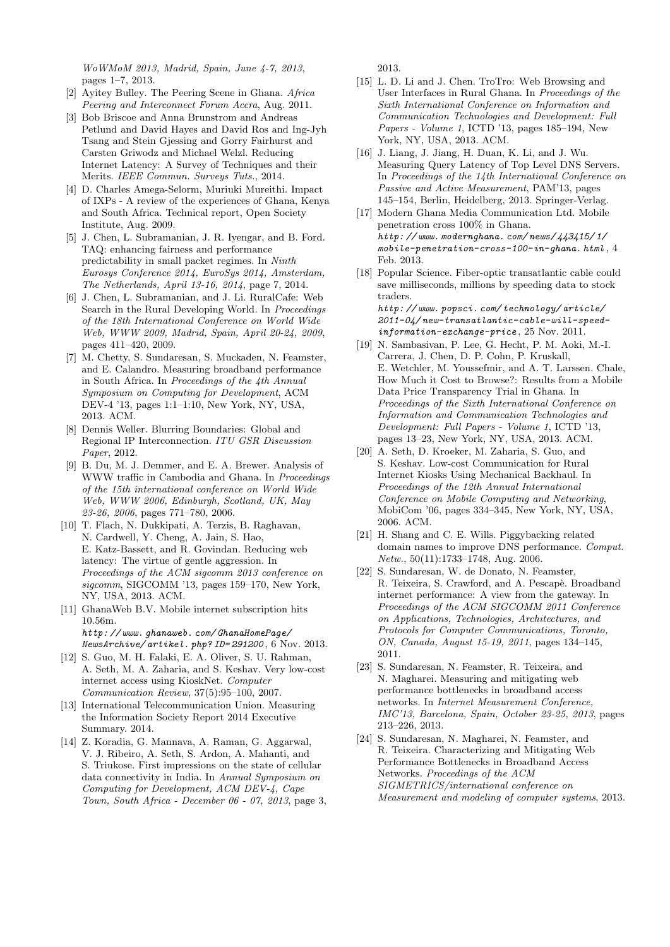WoWMoM 2013, Madrid, Spain, June 4-7, 2013, pages 1–7, 2013.

- [2] Ayitey Bulley. The Peering Scene in Ghana. Africa Peering and Interconnect Forum Accra, Aug. 2011.
- [3] Bob Briscoe and Anna Brunstrom and Andreas Petlund and David Hayes and David Ros and Ing-Jyh Tsang and Stein Gjessing and Gorry Fairhurst and Carsten Griwodz and Michael Welzl. Reducing Internet Latency: A Survey of Techniques and their Merits. IEEE Commun. Surveys Tuts., 2014.
- [4] D. Charles Amega-Selorm, Muriuki Mureithi. Impact of IXPs - A review of the experiences of Ghana, Kenya and South Africa. Technical report, Open Society Institute, Aug. 2009.
- [5] J. Chen, L. Subramanian, J. R. Iyengar, and B. Ford. TAQ: enhancing fairness and performance predictability in small packet regimes. In Ninth Eurosys Conference 2014, EuroSys 2014, Amsterdam, The Netherlands, April 13-16, 2014, page 7, 2014.
- [6] J. Chen, L. Subramanian, and J. Li. RuralCafe: Web Search in the Rural Developing World. In Proceedings of the 18th International Conference on World Wide Web, WWW 2009, Madrid, Spain, April 20-24, 2009, pages 411–420, 2009.
- [7] M. Chetty, S. Sundaresan, S. Muckaden, N. Feamster, and E. Calandro. Measuring broadband performance in South Africa. In Proceedings of the 4th Annual Symposium on Computing for Development, ACM DEV-4 '13, pages 1:1–1:10, New York, NY, USA, 2013. ACM.
- [8] Dennis Weller. Blurring Boundaries: Global and Regional IP Interconnection. ITU GSR Discussion Paper, 2012.
- [9] B. Du, M. J. Demmer, and E. A. Brewer. Analysis of WWW traffic in Cambodia and Ghana. In Proceedings of the 15th international conference on World Wide Web, WWW 2006, Edinburgh, Scotland, UK, May 23-26, 2006, pages 771–780, 2006.
- [10] T. Flach, N. Dukkipati, A. Terzis, B. Raghavan, N. Cardwell, Y. Cheng, A. Jain, S. Hao, E. Katz-Bassett, and R. Govindan. Reducing web latency: The virtue of gentle aggression. In Proceedings of the ACM sigcomm 2013 conference on sigcomm, SIGCOMM '13, pages 159–170, New York, NY, USA, 2013. ACM.
- [11] GhanaWeb B.V. Mobile internet subscription hits 10.56m. http: // www. ghanaweb. com/ GhanaHomePage/
- $\emph{NewsArchive/artikel.}$   $\emph{php? ID=291200}$  ,  $\emph{6}$  Nov. 2013. [12] S. Guo, M. H. Falaki, E. A. Oliver, S. U. Rahman, A. Seth, M. A. Zaharia, and S. Keshav. Very low-cost internet access using KioskNet. Computer Communication Review, 37(5):95–100, 2007.
- [13] International Telecommunication Union. Measuring the Information Society Report 2014 Executive Summary. 2014.
- [14] Z. Koradia, G. Mannava, A. Raman, G. Aggarwal, V. J. Ribeiro, A. Seth, S. Ardon, A. Mahanti, and S. Triukose. First impressions on the state of cellular data connectivity in India. In Annual Symposium on Computing for Development, ACM DEV-4, Cape Town, South Africa - December 06 - 07, 2013, page 3,

2013.

- [15] L. D. Li and J. Chen. TroTro: Web Browsing and User Interfaces in Rural Ghana. In Proceedings of the Sixth International Conference on Information and Communication Technologies and Development: Full Papers - Volume 1, ICTD '13, pages 185–194, New York, NY, USA, 2013. ACM.
- [16] J. Liang, J. Jiang, H. Duan, K. Li, and J. Wu. Measuring Query Latency of Top Level DNS Servers. In Proceedings of the 14th International Conference on Passive and Active Measurement, PAM'13, pages 145–154, Berlin, Heidelberg, 2013. Springer-Verlag.
- [17] Modern Ghana Media Communication Ltd. Mobile penetration cross 100% in Ghana. http: // www. modernghana. com/ news/ 443415/ 1/ mobile-penetration-cross-100-in-ghana. html , 4 Feb. 2013.
- [18] Popular Science. Fiber-optic transatlantic cable could save milliseconds, millions by speeding data to stock traders. http: // www. popsci. com/ technology/ article/ 2011-04/ new-transatlantic-cable-will-speedinformation-exchange-price , 25 Nov. 2011.
- [19] N. Sambasivan, P. Lee, G. Hecht, P. M. Aoki, M.-I. Carrera, J. Chen, D. P. Cohn, P. Kruskall, E. Wetchler, M. Youssefmir, and A. T. Larssen. Chale, How Much it Cost to Browse?: Results from a Mobile Data Price Transparency Trial in Ghana. In Proceedings of the Sixth International Conference on Information and Communication Technologies and Development: Full Papers - Volume 1, ICTD '13, pages 13–23, New York, NY, USA, 2013. ACM.
- [20] A. Seth, D. Kroeker, M. Zaharia, S. Guo, and S. Keshav. Low-cost Communication for Rural Internet Kiosks Using Mechanical Backhaul. In Proceedings of the 12th Annual International Conference on Mobile Computing and Networking, MobiCom '06, pages 334–345, New York, NY, USA, 2006. ACM.
- [21] H. Shang and C. E. Wills. Piggybacking related domain names to improve DNS performance. Comput. Netw., 50(11):1733–1748, Aug. 2006.
- [22] S. Sundaresan, W. de Donato, N. Feamster, R. Teixeira, S. Crawford, and A. Pescapè. Broadband internet performance: A view from the gateway. In Proceedings of the ACM SIGCOMM 2011 Conference on Applications, Technologies, Architectures, and Protocols for Computer Communications, Toronto, ON, Canada, August 15-19, 2011, pages 134–145, 2011.
- [23] S. Sundaresan, N. Feamster, R. Teixeira, and N. Magharei. Measuring and mitigating web performance bottlenecks in broadband access networks. In Internet Measurement Conference, IMC'13, Barcelona, Spain, October 23-25, 2013, pages 213–226, 2013.
- [24] S. Sundaresan, N. Magharei, N. Feamster, and R. Teixeira. Characterizing and Mitigating Web Performance Bottlenecks in Broadband Access Networks. Proceedings of the ACM SIGMETRICS/international conference on Measurement and modeling of computer systems, 2013.